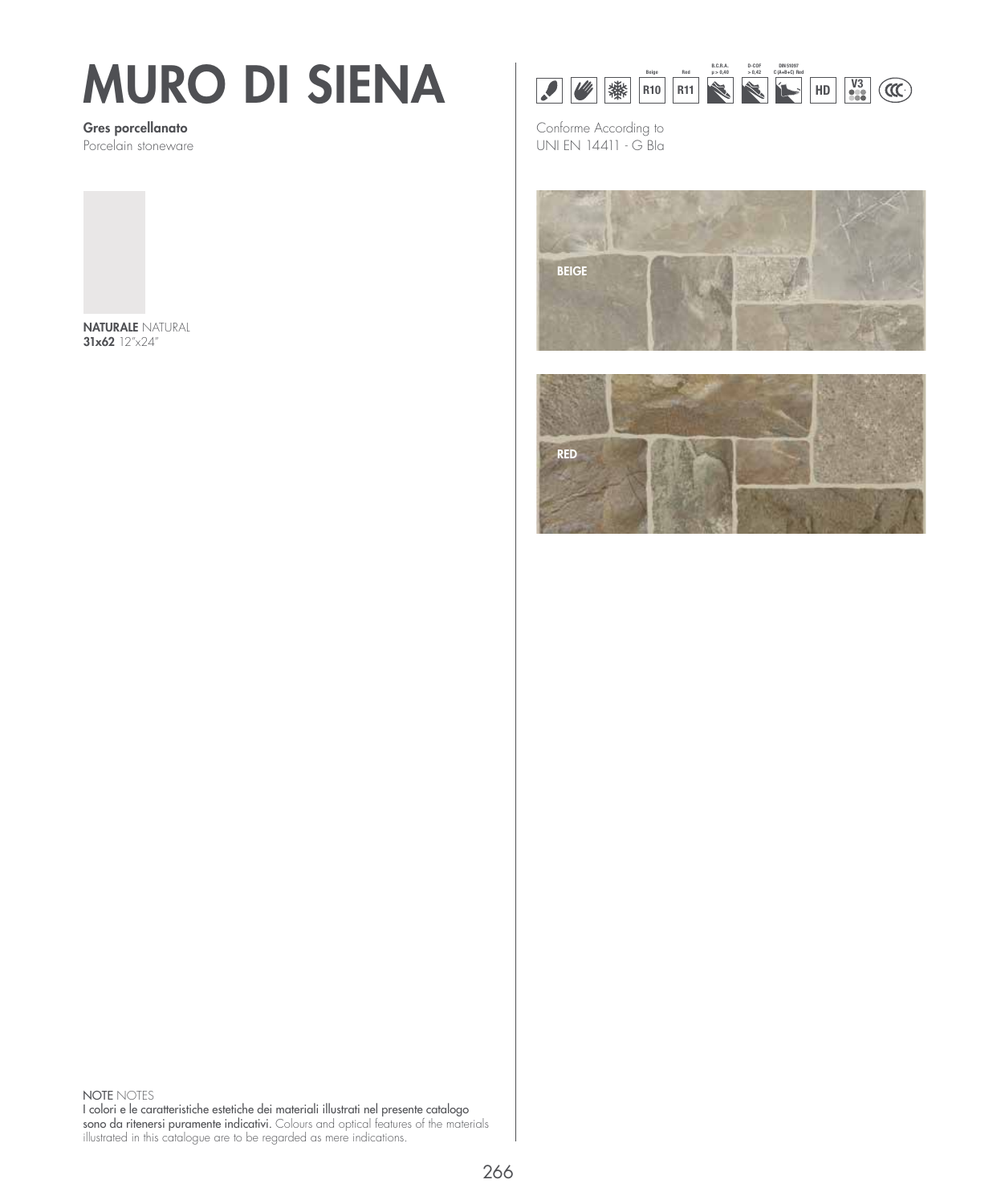## MURO DI SIENA

Gres porcellanato Porcelain stoneware



NATURALE NATURAL 31x62 12"x24"



Conforme According to UNI EN 14411 - G BIa





NOTE NOTES I colori e le caratteristiche estetiche dei materiali illustrati nel presente catalogo sono da ritenersi puramente indicativi. Colours and optical features of the materials illustrated in this catalogue are to be regarded as mere indications.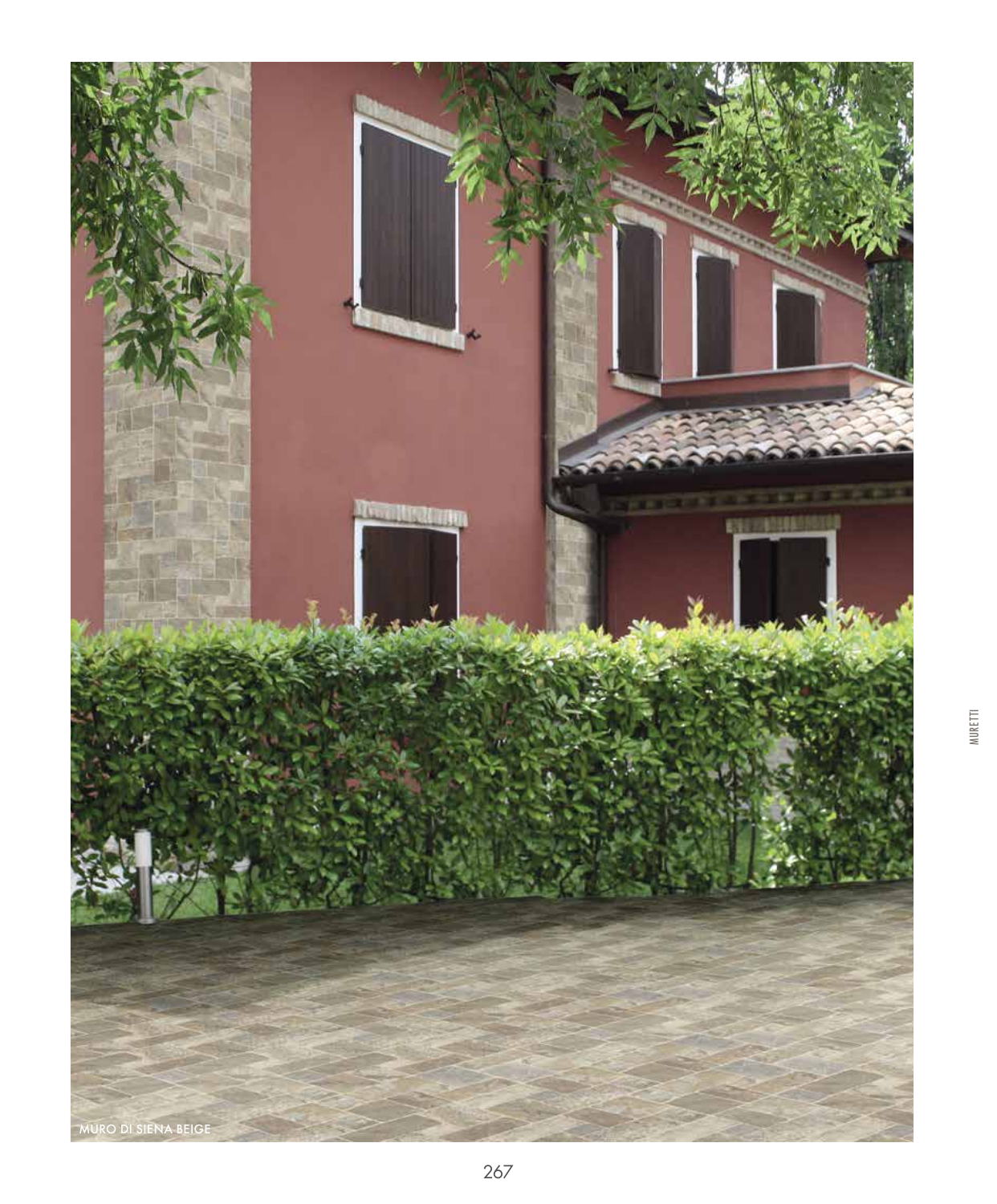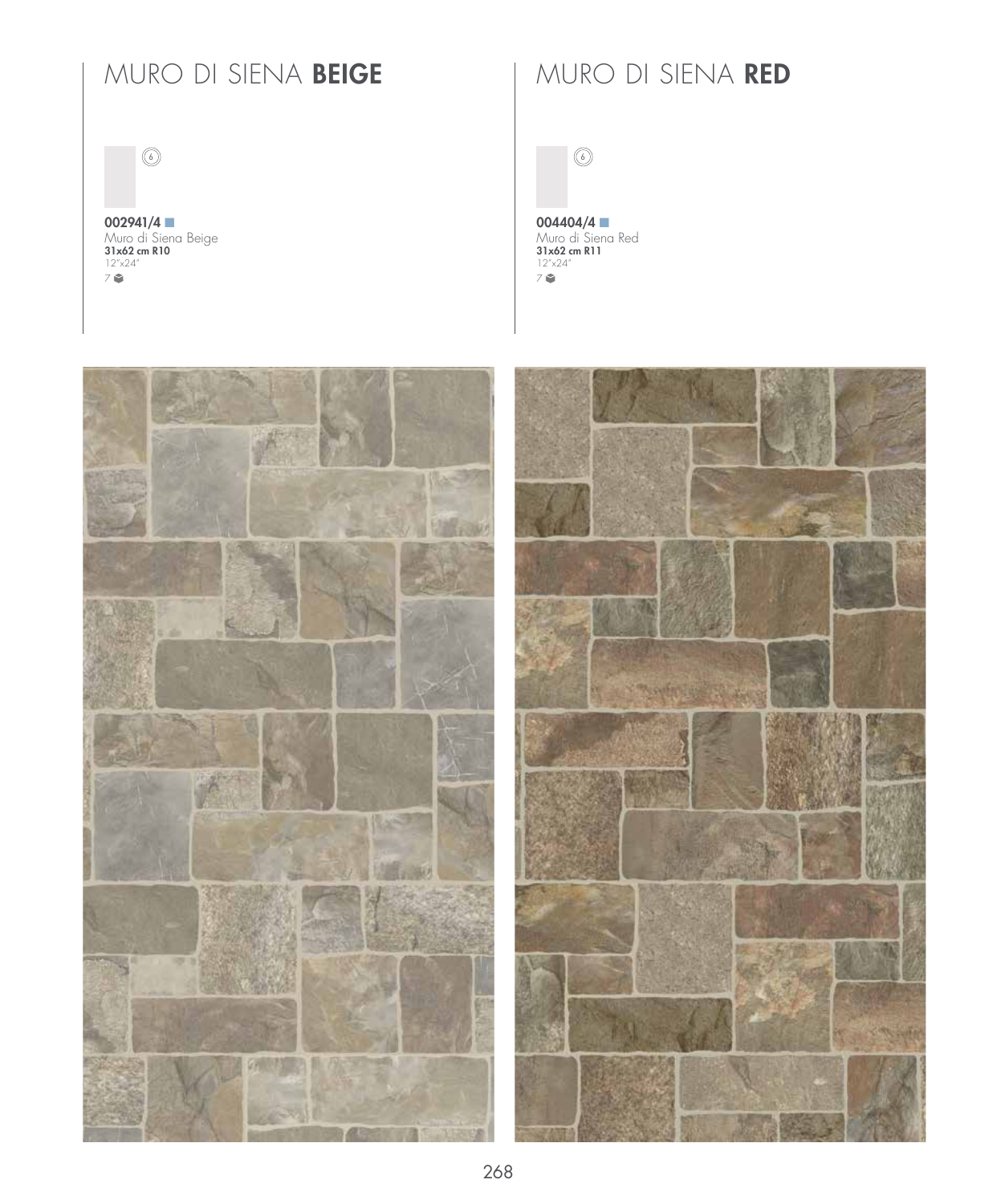## MURO DI SIENA BEIGE | MURO DI SIENA RED

 $\circledcirc$ 

002941/4 Muro di Siena Beige<br>**31x62 cm R10** 12"x24" 7

 $\circledcirc$ 

004404/4 Muro di Siena Red<br>**31x62 cm R11** 12"x24" 7